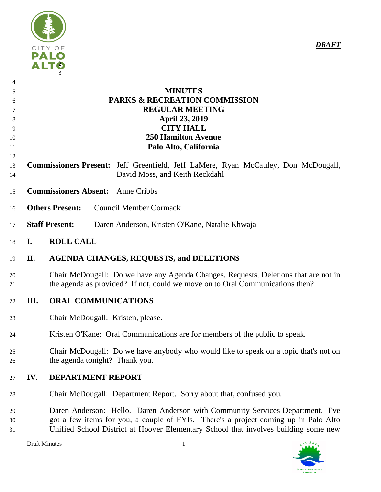

| 4  |                                                                                           |
|----|-------------------------------------------------------------------------------------------|
| 5  | <b>MINUTES</b>                                                                            |
| 6  | <b>PARKS &amp; RECREATION COMMISSION</b>                                                  |
|    | <b>REGULAR MEETING</b>                                                                    |
| 8  | <b>April 23, 2019</b>                                                                     |
| 9  | <b>CITY HALL</b>                                                                          |
| 10 | <b>250 Hamilton Avenue</b>                                                                |
| 11 | Palo Alto, California                                                                     |
| 12 |                                                                                           |
| 13 | <b>Commissioners Present:</b> Jeff Greenfield, Jeff LaMere, Ryan McCauley, Don McDougall, |
| 14 | David Moss, and Keith Reckdahl                                                            |
| 15 | <b>Commissioners Absent:</b><br>Anne Cribbs                                               |
| 16 | <b>Others Present:</b><br><b>Council Member Cormack</b>                                   |
| 17 | <b>Staff Present:</b><br>Daren Anderson, Kristen O'Kane, Natalie Khwaja                   |

# **I. ROLL CALL**

# **II. AGENDA CHANGES, REQUESTS, and DELETIONS**

- Chair McDougall: Do we have any Agenda Changes, Requests, Deletions that are not in the agenda as provided? If not, could we move on to Oral Communications then?
- **III. ORAL COMMUNICATIONS**
- Chair McDougall: Kristen, please.
- Kristen O'Kane: Oral Communications are for members of the public to speak.
- Chair McDougall: Do we have anybody who would like to speak on a topic that's not on the agenda tonight? Thank you.

# **IV. DEPARTMENT REPORT**

- Chair McDougall: Department Report. Sorry about that, confused you.
- Daren Anderson: Hello. Daren Anderson with Community Services Department. I've got a few items for you, a couple of FYIs. There's a project coming up in Palo Alto Unified School District at Hoover Elementary School that involves building some new



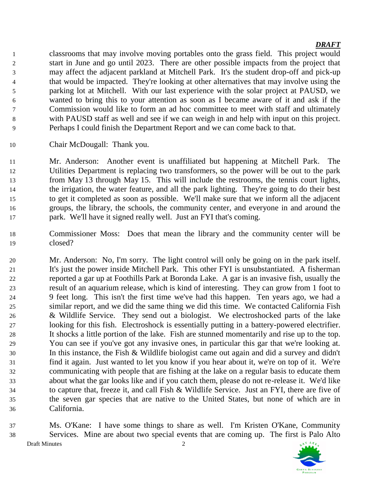classrooms that may involve moving portables onto the grass field. This project would start in June and go until 2023. There are other possible impacts from the project that may affect the adjacent parkland at Mitchell Park. It's the student drop-off and pick-up that would be impacted. They're looking at other alternatives that may involve using the parking lot at Mitchell. With our last experience with the solar project at PAUSD, we wanted to bring this to your attention as soon as I became aware of it and ask if the Commission would like to form an ad hoc committee to meet with staff and ultimately with PAUSD staff as well and see if we can weigh in and help with input on this project. Perhaps I could finish the Department Report and we can come back to that.

Chair McDougall: Thank you.

 Mr. Anderson: Another event is unaffiliated but happening at Mitchell Park. The Utilities Department is replacing two transformers, so the power will be out to the park from May 13 through May 15. This will include the restrooms, the tennis court lights, the irrigation, the water feature, and all the park lighting. They're going to do their best to get it completed as soon as possible. We'll make sure that we inform all the adjacent groups, the library, the schools, the community center, and everyone in and around the park. We'll have it signed really well. Just an FYI that's coming.

- Commissioner Moss: Does that mean the library and the community center will be closed?
- Mr. Anderson: No, I'm sorry. The light control will only be going on in the park itself. It's just the power inside Mitchell Park. This other FYI is unsubstantiated. A fisherman reported a gar up at Foothills Park at Boronda Lake. A gar is an invasive fish, usually the result of an aquarium release, which is kind of interesting. They can grow from 1 foot to 9 feet long. This isn't the first time we've had this happen. Ten years ago, we had a similar report, and we did the same thing we did this time. We contacted California Fish & Wildlife Service. They send out a biologist. We electroshocked parts of the lake looking for this fish. Electroshock is essentially putting in a battery-powered electrifier. It shocks a little portion of the lake. Fish are stunned momentarily and rise up to the top. You can see if you've got any invasive ones, in particular this gar that we're looking at. In this instance, the Fish & Wildlife biologist came out again and did a survey and didn't find it again. Just wanted to let you know if you hear about it, we're on top of it. We're communicating with people that are fishing at the lake on a regular basis to educate them about what the gar looks like and if you catch them, please do not re-release it. We'd like to capture that, freeze it, and call Fish & Wildlife Service. Just an FYI, there are five of the seven gar species that are native to the United States, but none of which are in California.
- Draft Minutes 2 Ms. O'Kane: I have some things to share as well. I'm Kristen O'Kane, Community Services. Mine are about two special events that are coming up. The first is Palo Alto

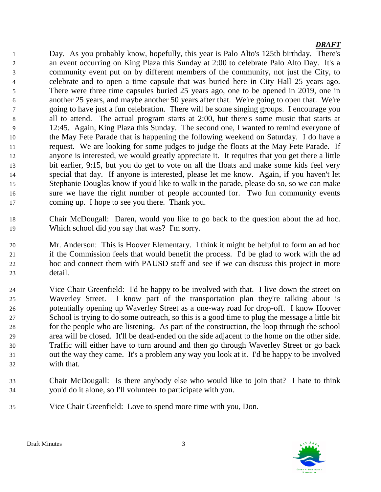Day. As you probably know, hopefully, this year is Palo Alto's 125th birthday. There's an event occurring on King Plaza this Sunday at 2:00 to celebrate Palo Alto Day. It's a community event put on by different members of the community, not just the City, to celebrate and to open a time capsule that was buried here in City Hall 25 years ago. There were three time capsules buried 25 years ago, one to be opened in 2019, one in another 25 years, and maybe another 50 years after that. We're going to open that. We're going to have just a fun celebration. There will be some singing groups. I encourage you all to attend. The actual program starts at 2:00, but there's some music that starts at 12:45. Again, King Plaza this Sunday. The second one, I wanted to remind everyone of the May Fete Parade that is happening the following weekend on Saturday. I do have a request. We are looking for some judges to judge the floats at the May Fete Parade. If anyone is interested, we would greatly appreciate it. It requires that you get there a little bit earlier, 9:15, but you do get to vote on all the floats and make some kids feel very special that day. If anyone is interested, please let me know. Again, if you haven't let Stephanie Douglas know if you'd like to walk in the parade, please do so, so we can make sure we have the right number of people accounted for. Two fun community events coming up. I hope to see you there. Thank you.

- Chair McDougall: Daren, would you like to go back to the question about the ad hoc. Which school did you say that was? I'm sorry.
- Mr. Anderson: This is Hoover Elementary. I think it might be helpful to form an ad hoc if the Commission feels that would benefit the process. I'd be glad to work with the ad hoc and connect them with PAUSD staff and see if we can discuss this project in more detail.
- Vice Chair Greenfield: I'd be happy to be involved with that. I live down the street on Waverley Street. I know part of the transportation plan they're talking about is potentially opening up Waverley Street as a one-way road for drop-off. I know Hoover School is trying to do some outreach, so this is a good time to plug the message a little bit for the people who are listening. As part of the construction, the loop through the school area will be closed. It'll be dead-ended on the side adjacent to the home on the other side. Traffic will either have to turn around and then go through Waverley Street or go back out the way they came. It's a problem any way you look at it. I'd be happy to be involved with that.
- Chair McDougall: Is there anybody else who would like to join that? I hate to think you'd do it alone, so I'll volunteer to participate with you.
- Vice Chair Greenfield: Love to spend more time with you, Don.

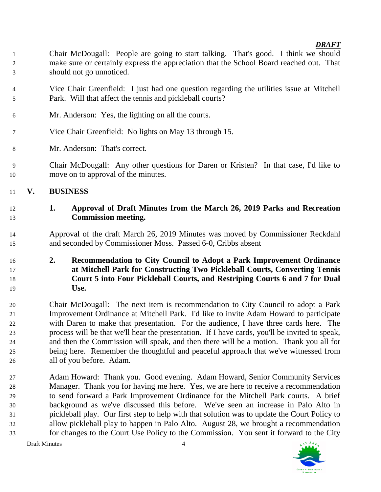- Chair McDougall: People are going to start talking. That's good. I think we should make sure or certainly express the appreciation that the School Board reached out. That should not go unnoticed.
- Vice Chair Greenfield: I just had one question regarding the utilities issue at Mitchell Park. Will that affect the tennis and pickleball courts?
- Mr. Anderson: Yes, the lighting on all the courts.
- Vice Chair Greenfield: No lights on May 13 through 15.
- Mr. Anderson: That's correct.
- Chair McDougall: Any other questions for Daren or Kristen? In that case, I'd like to move on to approval of the minutes.

# **V. BUSINESS**

# **1. Approval of Draft Minutes from the March 26, 2019 Parks and Recreation Commission meeting.**

 Approval of the draft March 26, 2019 Minutes was moved by Commissioner Reckdahl and seconded by Commissioner Moss. Passed 6-0, Cribbs absent

# **2. Recommendation to City Council to Adopt a Park Improvement Ordinance at Mitchell Park for Constructing Two Pickleball Courts, Converting Tennis Court 5 into Four Pickleball Courts, and Restriping Courts 6 and 7 for Dual Use.**

 Chair McDougall: The next item is recommendation to City Council to adopt a Park Improvement Ordinance at Mitchell Park. I'd like to invite Adam Howard to participate with Daren to make that presentation. For the audience, I have three cards here. The process will be that we'll hear the presentation. If I have cards, you'll be invited to speak, and then the Commission will speak, and then there will be a motion. Thank you all for being here. Remember the thoughtful and peaceful approach that we've witnessed from all of you before. Adam.

 Adam Howard: Thank you. Good evening. Adam Howard, Senior Community Services Manager. Thank you for having me here. Yes, we are here to receive a recommendation to send forward a Park Improvement Ordinance for the Mitchell Park courts. A brief background as we've discussed this before. We've seen an increase in Palo Alto in pickleball play. Our first step to help with that solution was to update the Court Policy to allow pickleball play to happen in Palo Alto. August 28, we brought a recommendation for changes to the Court Use Policy to the Commission. You sent it forward to the City

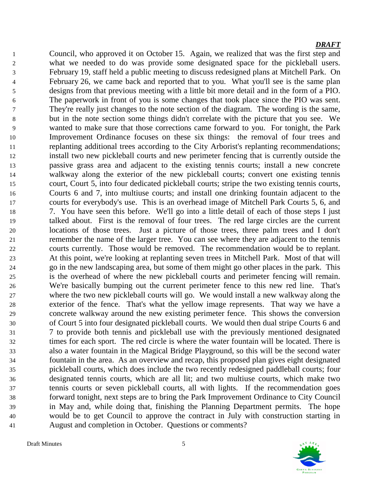Council, who approved it on October 15. Again, we realized that was the first step and what we needed to do was provide some designated space for the pickleball users. February 19, staff held a public meeting to discuss redesigned plans at Mitchell Park. On February 26, we came back and reported that to you. What you'll see is the same plan designs from that previous meeting with a little bit more detail and in the form of a PIO. The paperwork in front of you is some changes that took place since the PIO was sent. They're really just changes to the note section of the diagram. The wording is the same, but in the note section some things didn't correlate with the picture that you see. We wanted to make sure that those corrections came forward to you. For tonight, the Park Improvement Ordinance focuses on these six things: the removal of four trees and replanting additional trees according to the City Arborist's replanting recommendations; install two new pickleball courts and new perimeter fencing that is currently outside the passive grass area and adjacent to the existing tennis courts; install a new concrete walkway along the exterior of the new pickleball courts; convert one existing tennis court, Court 5, into four dedicated pickleball courts; stripe the two existing tennis courts, Courts 6 and 7, into multiuse courts; and install one drinking fountain adjacent to the courts for everybody's use. This is an overhead image of Mitchell Park Courts 5, 6, and 7. You have seen this before. We'll go into a little detail of each of those steps I just talked about. First is the removal of four trees. The red large circles are the current locations of those trees. Just a picture of those trees, three palm trees and I don't remember the name of the larger tree. You can see where they are adjacent to the tennis courts currently. Those would be removed. The recommendation would be to replant. At this point, we're looking at replanting seven trees in Mitchell Park. Most of that will go in the new landscaping area, but some of them might go other places in the park. This is the overhead of where the new pickleball courts and perimeter fencing will remain. We're basically bumping out the current perimeter fence to this new red line. That's where the two new pickleball courts will go. We would install a new walkway along the exterior of the fence. That's what the yellow image represents. That way we have a concrete walkway around the new existing perimeter fence. This shows the conversion of Court 5 into four designated pickleball courts. We would then dual stripe Courts 6 and 7 to provide both tennis and pickleball use with the previously mentioned designated times for each sport. The red circle is where the water fountain will be located. There is also a water fountain in the Magical Bridge Playground, so this will be the second water fountain in the area. As an overview and recap, this proposed plan gives eight designated pickleball courts, which does include the two recently redesigned paddleball courts; four designated tennis courts, which are all lit; and two multiuse courts, which make two tennis courts or seven pickleball courts, all with lights. If the recommendation goes forward tonight, next steps are to bring the Park Improvement Ordinance to City Council in May and, while doing that, finishing the Planning Department permits. The hope would be to get Council to approve the contract in July with construction starting in August and completion in October. Questions or comments?

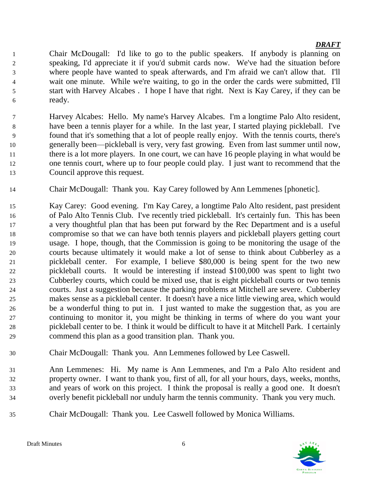Chair McDougall: I'd like to go to the public speakers. If anybody is planning on speaking, I'd appreciate it if you'd submit cards now. We've had the situation before where people have wanted to speak afterwards, and I'm afraid we can't allow that. I'll wait one minute. While we're waiting, to go in the order the cards were submitted, I'll start with Harvey Alcabes . I hope I have that right. Next is Kay Carey, if they can be ready.

- Harvey Alcabes: Hello. My name's Harvey Alcabes. I'm a longtime Palo Alto resident, have been a tennis player for a while. In the last year, I started playing pickleball. I've found that it's something that a lot of people really enjoy. With the tennis courts, there's generally been—pickleball is very, very fast growing. Even from last summer until now, there is a lot more players. In one court, we can have 16 people playing in what would be one tennis court, where up to four people could play. I just want to recommend that the Council approve this request.
- Chair McDougall: Thank you. Kay Carey followed by Ann Lemmenes [phonetic].
- Kay Carey: Good evening. I'm Kay Carey, a longtime Palo Alto resident, past president of Palo Alto Tennis Club. I've recently tried pickleball. It's certainly fun. This has been a very thoughtful plan that has been put forward by the Rec Department and is a useful compromise so that we can have both tennis players and pickleball players getting court usage. I hope, though, that the Commission is going to be monitoring the usage of the courts because ultimately it would make a lot of sense to think about Cubberley as a pickleball center. For example, I believe \$80,000 is being spent for the two new pickleball courts. It would be interesting if instead \$100,000 was spent to light two Cubberley courts, which could be mixed use, that is eight pickleball courts or two tennis courts. Just a suggestion because the parking problems at Mitchell are severe. Cubberley makes sense as a pickleball center. It doesn't have a nice little viewing area, which would be a wonderful thing to put in. I just wanted to make the suggestion that, as you are continuing to monitor it, you might be thinking in terms of where do you want your pickleball center to be. I think it would be difficult to have it at Mitchell Park. I certainly commend this plan as a good transition plan. Thank you.
- Chair McDougall: Thank you. Ann Lemmenes followed by Lee Caswell.
- Ann Lemmenes: Hi. My name is Ann Lemmenes, and I'm a Palo Alto resident and property owner. I want to thank you, first of all, for all your hours, days, weeks, months, and years of work on this project. I think the proposal is really a good one. It doesn't overly benefit pickleball nor unduly harm the tennis community. Thank you very much.
- Chair McDougall: Thank you. Lee Caswell followed by Monica Williams.

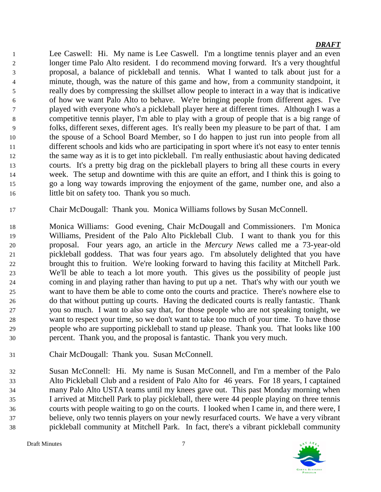Lee Caswell: Hi. My name is Lee Caswell. I'm a longtime tennis player and an even longer time Palo Alto resident. I do recommend moving forward. It's a very thoughtful proposal, a balance of pickleball and tennis. What I wanted to talk about just for a minute, though, was the nature of this game and how, from a community standpoint, it really does by compressing the skillset allow people to interact in a way that is indicative of how we want Palo Alto to behave. We're bringing people from different ages. I've played with everyone who's a pickleball player here at different times. Although I was a competitive tennis player, I'm able to play with a group of people that is a big range of folks, different sexes, different ages. It's really been my pleasure to be part of that. I am the spouse of a School Board Member, so I do happen to just run into people from all different schools and kids who are participating in sport where it's not easy to enter tennis the same way as it is to get into pickleball. I'm really enthusiastic about having dedicated courts. It's a pretty big drag on the pickleball players to bring all these courts in every week. The setup and downtime with this are quite an effort, and I think this is going to go a long way towards improving the enjoyment of the game, number one, and also a little bit on safety too. Thank you so much.

Chair McDougall: Thank you. Monica Williams follows by Susan McConnell.

- Monica Williams: Good evening, Chair McDougall and Commissioners. I'm Monica Williams, President of the Palo Alto Pickleball Club. I want to thank you for this proposal. Four years ago, an article in the *Mercury News* called me a 73-year-old pickleball goddess. That was four years ago. I'm absolutely delighted that you have brought this to fruition. We're looking forward to having this facility at Mitchell Park. We'll be able to teach a lot more youth. This gives us the possibility of people just coming in and playing rather than having to put up a net. That's why with our youth we want to have them be able to come onto the courts and practice. There's nowhere else to do that without putting up courts. Having the dedicated courts is really fantastic. Thank you so much. I want to also say that, for those people who are not speaking tonight, we want to respect your time, so we don't want to take too much of your time. To have those people who are supporting pickleball to stand up please. Thank you. That looks like 100 percent. Thank you, and the proposal is fantastic. Thank you very much.
- Chair McDougall: Thank you. Susan McConnell.

 Susan McConnell: Hi. My name is Susan McConnell, and I'm a member of the Palo Alto Pickleball Club and a resident of Palo Alto for 46 years. For 18 years, I captained many Palo Alto USTA teams until my knees gave out. This past Monday morning when I arrived at Mitchell Park to play pickleball, there were 44 people playing on three tennis courts with people waiting to go on the courts. I looked when I came in, and there were, I believe, only two tennis players on your newly resurfaced courts. We have a very vibrant pickleball community at Mitchell Park. In fact, there's a vibrant pickleball community

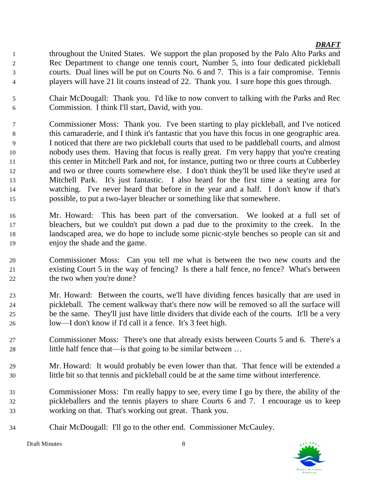- throughout the United States. We support the plan proposed by the Palo Alto Parks and Rec Department to change one tennis court, Number 5, into four dedicated pickleball courts. Dual lines will be put on Courts No. 6 and 7. This is a fair compromise. Tennis players will have 21 lit courts instead of 22. Thank you. I sure hope this goes through.
- Chair McDougall: Thank you. I'd like to now convert to talking with the Parks and Rec Commission. I think I'll start, David, with you.
- Commissioner Moss: Thank you. I've been starting to play pickleball, and I've noticed this camaraderie, and I think it's fantastic that you have this focus in one geographic area. I noticed that there are two pickleball courts that used to be paddleball courts, and almost nobody uses them. Having that focus is really great. I'm very happy that you're creating this center in Mitchell Park and not, for instance, putting two or three courts at Cubberley and two or three courts somewhere else. I don't think they'll be used like they're used at Mitchell Park. It's just fantastic. I also heard for the first time a seating area for watching. I've never heard that before in the year and a half. I don't know if that's possible, to put a two-layer bleacher or something like that somewhere.
- Mr. Howard: This has been part of the conversation. We looked at a full set of bleachers, but we couldn't put down a pad due to the proximity to the creek. In the landscaped area, we do hope to include some picnic-style benches so people can sit and enjoy the shade and the game.
- Commissioner Moss: Can you tell me what is between the two new courts and the existing Court 5 in the way of fencing? Is there a half fence, no fence? What's between 22 the two when you're done?
- Mr. Howard: Between the courts, we'll have dividing fences basically that are used in pickleball. The cement walkway that's there now will be removed so all the surface will be the same. They'll just have little dividers that divide each of the courts. It'll be a very low—I don't know if I'd call it a fence. It's 3 feet high.
- Commissioner Moss: There's one that already exists between Courts 5 and 6. There's a little half fence that—is that going to be similar between …
- Mr. Howard: It would probably be even lower than that. That fence will be extended a little bit so that tennis and pickleball could be at the same time without interference.
- Commissioner Moss: I'm really happy to see, every time I go by there, the ability of the pickleballers and the tennis players to share Courts 6 and 7. I encourage us to keep working on that. That's working out great. Thank you.
- Chair McDougall: I'll go to the other end. Commissioner McCauley.

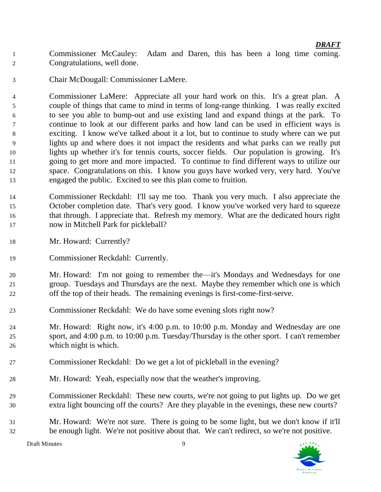- Commissioner McCauley: Adam and Daren, this has been a long time coming. Congratulations, well done.
- Chair McDougall: Commissioner LaMere.

 Commissioner LaMere: Appreciate all your hard work on this. It's a great plan. A couple of things that came to mind in terms of long-range thinking. I was really excited to see you able to bump-out and use existing land and expand things at the park. To continue to look at our different parks and how land can be used in efficient ways is exciting. I know we've talked about it a lot, but to continue to study where can we put lights up and where does it not impact the residents and what parks can we really put lights up whether it's for tennis courts, soccer fields. Our population is growing. It's going to get more and more impacted. To continue to find different ways to utilize our space. Congratulations on this. I know you guys have worked very, very hard. You've engaged the public. Excited to see this plan come to fruition.

- Commissioner Reckdahl: I'll say me too. Thank you very much. I also appreciate the October completion date. That's very good. I know you've worked very hard to squeeze that through. I appreciate that. Refresh my memory. What are the dedicated hours right now in Mitchell Park for pickleball?
- Mr. Howard: Currently?
- Commissioner Reckdahl: Currently.

 Mr. Howard: I'm not going to remember the—it's Mondays and Wednesdays for one group. Tuesdays and Thursdays are the next. Maybe they remember which one is which off the top of their heads. The remaining evenings is first-come-first-serve.

- Commissioner Reckdahl: We do have some evening slots right now?
- Mr. Howard: Right now, it's 4:00 p.m. to 10:00 p.m. Monday and Wednesday are one sport, and 4:00 p.m. to 10:00 p.m. Tuesday/Thursday is the other sport. I can't remember which night is which.
- Commissioner Reckdahl: Do we get a lot of pickleball in the evening?
- Mr. Howard: Yeah, especially now that the weather's improving.
- Commissioner Reckdahl: These new courts, we're not going to put lights up. Do we get extra light bouncing off the courts? Are they playable in the evenings, these new courts?
- Mr. Howard: We're not sure. There is going to be some light, but we don't know if it'll be enough light. We're not positive about that. We can't redirect, so we're not positive.

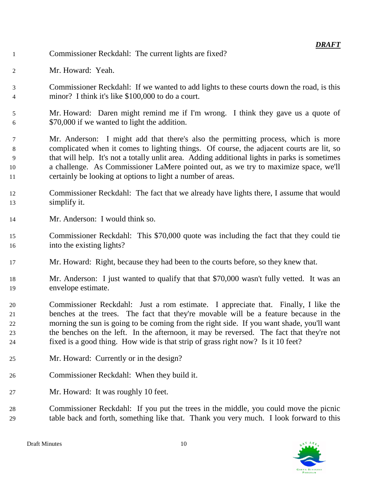- Commissioner Reckdahl: The current lights are fixed?
- Mr. Howard: Yeah.
- Commissioner Reckdahl: If we wanted to add lights to these courts down the road, is this minor? I think it's like \$100,000 to do a court.
- Mr. Howard: Daren might remind me if I'm wrong. I think they gave us a quote of \$70,000 if we wanted to light the addition.
- Mr. Anderson: I might add that there's also the permitting process, which is more complicated when it comes to lighting things. Of course, the adjacent courts are lit, so that will help. It's not a totally unlit area. Adding additional lights in parks is sometimes a challenge. As Commissioner LaMere pointed out, as we try to maximize space, we'll certainly be looking at options to light a number of areas.
- Commissioner Reckdahl: The fact that we already have lights there, I assume that would simplify it.
- Mr. Anderson: I would think so.
- Commissioner Reckdahl: This \$70,000 quote was including the fact that they could tie into the existing lights?
- Mr. Howard: Right, because they had been to the courts before, so they knew that.
- Mr. Anderson: I just wanted to qualify that that \$70,000 wasn't fully vetted. It was an envelope estimate.
- Commissioner Reckdahl: Just a rom estimate. I appreciate that. Finally, I like the benches at the trees. The fact that they're movable will be a feature because in the morning the sun is going to be coming from the right side. If you want shade, you'll want the benches on the left. In the afternoon, it may be reversed. The fact that they're not fixed is a good thing. How wide is that strip of grass right now? Is it 10 feet?
- Mr. Howard: Currently or in the design?
- Commissioner Reckdahl: When they build it.
- Mr. Howard: It was roughly 10 feet.
- Commissioner Reckdahl: If you put the trees in the middle, you could move the picnic table back and forth, something like that. Thank you very much. I look forward to this

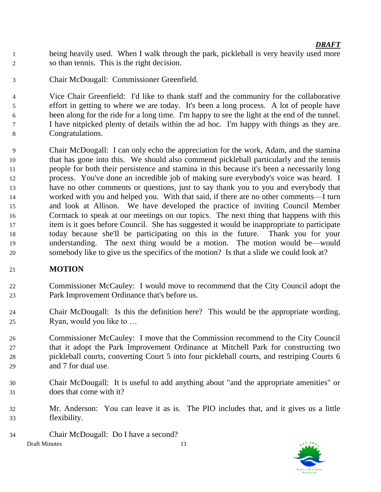being heavily used. When I walk through the park, pickleball is very heavily used more so than tennis. This is the right decision.

Chair McDougall: Commissioner Greenfield.

 Vice Chair Greenfield: I'd like to thank staff and the community for the collaborative effort in getting to where we are today. It's been a long process. A lot of people have been along for the ride for a long time. I'm happy to see the light at the end of the tunnel. I have nitpicked plenty of details within the ad hoc. I'm happy with things as they are. Congratulations.

 Chair McDougall: I can only echo the appreciation for the work, Adam, and the stamina that has gone into this. We should also commend pickleball particularly and the tennis people for both their persistence and stamina in this because it's been a necessarily long process. You've done an incredible job of making sure everybody's voice was heard. I have no other comments or questions, just to say thank you to you and everybody that worked with you and helped you. With that said, if there are no other comments—I turn and look at Allison. We have developed the practice of inviting Council Member Cormack to speak at our meetings on our topics. The next thing that happens with this item is it goes before Council. She has suggested it would be inappropriate to participate today because she'll be participating on this in the future. Thank you for your understanding. The next thing would be a motion. The motion would be—would somebody like to give us the specifics of the motion? Is that a slide we could look at?

# **MOTION**

- Commissioner McCauley: I would move to recommend that the City Council adopt the Park Improvement Ordinance that's before us.
- Chair McDougall: Is this the definition here? This would be the appropriate wording. Ryan, would you like to …
- Commissioner McCauley: I move that the Commission recommend to the City Council that it adopt the Park Improvement Ordinance at Mitchell Park for constructing two pickleball courts, converting Court 5 into four pickleball courts, and restriping Courts 6 and 7 for dual use.
- Chair McDougall: It is useful to add anything about "and the appropriate amenities" or does that come with it?
- Mr. Anderson: You can leave it as is. The PIO includes that, and it gives us a little flexibility.

Draft Minutes 11 Chair McDougall: Do I have a second?

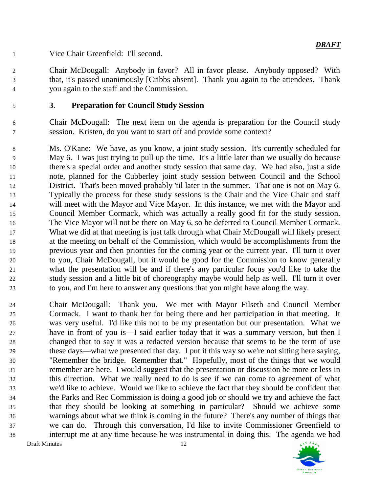Vice Chair Greenfield: I'll second.

 Chair McDougall: Anybody in favor? All in favor please. Anybody opposed? With that, it's passed unanimously [Cribbs absent]. Thank you again to the attendees. Thank you again to the staff and the Commission.

# **3**. **Preparation for Council Study Session**

 Chair McDougall: The next item on the agenda is preparation for the Council study session. Kristen, do you want to start off and provide some context?

 Ms. O'Kane: We have, as you know, a joint study session. It's currently scheduled for May 6. I was just trying to pull up the time. It's a little later than we usually do because there's a special order and another study session that same day. We had also, just a side note, planned for the Cubberley joint study session between Council and the School District. That's been moved probably 'til later in the summer. That one is not on May 6. Typically the process for these study sessions is the Chair and the Vice Chair and staff will meet with the Mayor and Vice Mayor. In this instance, we met with the Mayor and Council Member Cormack, which was actually a really good fit for the study session. The Vice Mayor will not be there on May 6, so he deferred to Council Member Cormack. What we did at that meeting is just talk through what Chair McDougall will likely present at the meeting on behalf of the Commission, which would be accomplishments from the previous year and then priorities for the coming year or the current year. I'll turn it over to you, Chair McDougall, but it would be good for the Commission to know generally what the presentation will be and if there's any particular focus you'd like to take the study session and a little bit of choreography maybe would help as well. I'll turn it over to you, and I'm here to answer any questions that you might have along the way.

Draft Minutes 12 Chair McDougall: Thank you. We met with Mayor Filseth and Council Member Cormack. I want to thank her for being there and her participation in that meeting. It was very useful. I'd like this not to be my presentation but our presentation. What we have in front of you is—I said earlier today that it was a summary version, but then I changed that to say it was a redacted version because that seems to be the term of use these days—what we presented that day. I put it this way so we're not sitting here saying, "Remember the bridge. Remember that." Hopefully, most of the things that we would remember are here. I would suggest that the presentation or discussion be more or less in this direction. What we really need to do is see if we can come to agreement of what we'd like to achieve. Would we like to achieve the fact that they should be confident that the Parks and Rec Commission is doing a good job or should we try and achieve the fact that they should be looking at something in particular? Should we achieve some warnings about what we think is coming in the future? There's any number of things that we can do. Through this conversation, I'd like to invite Commissioner Greenfield to interrupt me at any time because he was instrumental in doing this. The agenda we had

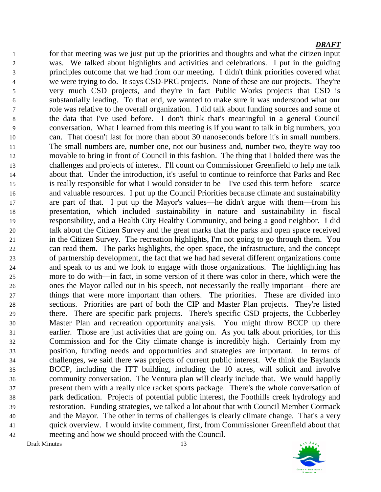Draft Minutes 13 for that meeting was we just put up the priorities and thoughts and what the citizen input was. We talked about highlights and activities and celebrations. I put in the guiding principles outcome that we had from our meeting. I didn't think priorities covered what we were trying to do. It says CSD-PRC projects. None of these are our projects. They're very much CSD projects, and they're in fact Public Works projects that CSD is substantially leading. To that end, we wanted to make sure it was understood what our role was relative to the overall organization. I did talk about funding sources and some of the data that I've used before. I don't think that's meaningful in a general Council conversation. What I learned from this meeting is if you want to talk in big numbers, you can. That doesn't last for more than about 30 nanoseconds before it's in small numbers. The small numbers are, number one, not our business and, number two, they're way too movable to bring in front of Council in this fashion. The thing that I bolded there was the challenges and projects of interest. I'll count on Commissioner Greenfield to help me talk about that. Under the introduction, it's useful to continue to reinforce that Parks and Rec is really responsible for what I would consider to be—I've used this term before—scarce and valuable resources. I put up the Council Priorities because climate and sustainability are part of that. I put up the Mayor's values—he didn't argue with them—from his presentation, which included sustainability in nature and sustainability in fiscal responsibility, and a Health City Healthy Community, and being a good neighbor. I did talk about the Citizen Survey and the great marks that the parks and open space received in the Citizen Survey. The recreation highlights, I'm not going to go through them. You can read them. The parks highlights, the open space, the infrastructure, and the concept of partnership development, the fact that we had had several different organizations come and speak to us and we look to engage with those organizations. The highlighting has more to do with—in fact, in some version of it there was color in there, which were the ones the Mayor called out in his speech, not necessarily the really important—there are things that were more important than others. The priorities. These are divided into sections. Priorities are part of both the CIP and Master Plan projects. They're listed there. There are specific park projects. There's specific CSD projects, the Cubberley Master Plan and recreation opportunity analysis. You might throw BCCP up there earlier. Those are just activities that are going on. As you talk about priorities, for this Commission and for the City climate change is incredibly high. Certainly from my position, funding needs and opportunities and strategies are important. In terms of challenges, we said there was projects of current public interest. We think the Baylands BCCP, including the ITT building, including the 10 acres, will solicit and involve community conversation. The Ventura plan will clearly include that. We would happily present them with a really nice racket sports package. There's the whole conversation of park dedication. Projects of potential public interest, the Foothills creek hydrology and restoration. Funding strategies, we talked a lot about that with Council Member Cormack and the Mayor. The other in terms of challenges is clearly climate change. That's a very quick overview. I would invite comment, first, from Commissioner Greenfield about that meeting and how we should proceed with the Council.

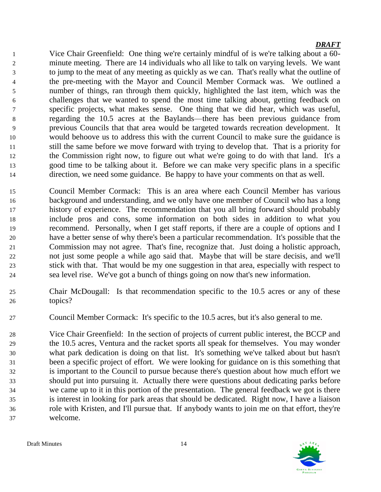Vice Chair Greenfield: One thing we're certainly mindful of is we're talking about a 60- minute meeting. There are 14 individuals who all like to talk on varying levels. We want to jump to the meat of any meeting as quickly as we can. That's really what the outline of the pre-meeting with the Mayor and Council Member Cormack was. We outlined a number of things, ran through them quickly, highlighted the last item, which was the challenges that we wanted to spend the most time talking about, getting feedback on specific projects, what makes sense. One thing that we did hear, which was useful, regarding the 10.5 acres at the Baylands—there has been previous guidance from previous Councils that that area would be targeted towards recreation development. It would behoove us to address this with the current Council to make sure the guidance is still the same before we move forward with trying to develop that. That is a priority for the Commission right now, to figure out what we're going to do with that land. It's a good time to be talking about it. Before we can make very specific plans in a specific direction, we need some guidance. Be happy to have your comments on that as well.

- Council Member Cormack: This is an area where each Council Member has various background and understanding, and we only have one member of Council who has a long history of experience. The recommendation that you all bring forward should probably include pros and cons, some information on both sides in addition to what you recommend. Personally, when I get staff reports, if there are a couple of options and I have a better sense of why there's been a particular recommendation. It's possible that the Commission may not agree. That's fine, recognize that. Just doing a holistic approach, not just some people a while ago said that. Maybe that will be stare decisis, and we'll stick with that. That would be my one suggestion in that area, especially with respect to sea level rise. We've got a bunch of things going on now that's new information.
- Chair McDougall: Is that recommendation specific to the 10.5 acres or any of these topics?
- Council Member Cormack: It's specific to the 10.5 acres, but it's also general to me.
- Vice Chair Greenfield: In the section of projects of current public interest, the BCCP and the 10.5 acres, Ventura and the racket sports all speak for themselves. You may wonder what park dedication is doing on that list. It's something we've talked about but hasn't been a specific project of effort. We were looking for guidance on is this something that is important to the Council to pursue because there's question about how much effort we should put into pursuing it. Actually there were questions about dedicating parks before we came up to it in this portion of the presentation. The general feedback we got is there is interest in looking for park areas that should be dedicated. Right now, I have a liaison role with Kristen, and I'll pursue that. If anybody wants to join me on that effort, they're welcome.

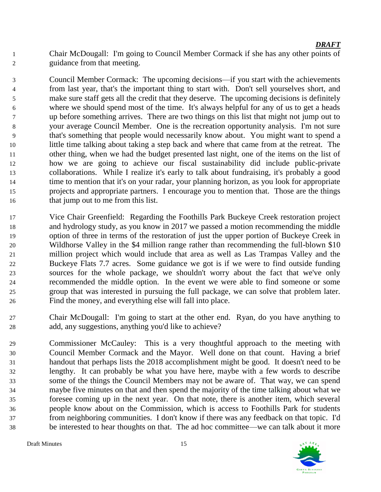Chair McDougall: I'm going to Council Member Cormack if she has any other points of guidance from that meeting.

 Council Member Cormack: The upcoming decisions—if you start with the achievements from last year, that's the important thing to start with. Don't sell yourselves short, and make sure staff gets all the credit that they deserve. The upcoming decisions is definitely where we should spend most of the time. It's always helpful for any of us to get a heads up before something arrives. There are two things on this list that might not jump out to your average Council Member. One is the recreation opportunity analysis. I'm not sure that's something that people would necessarily know about. You might want to spend a little time talking about taking a step back and where that came from at the retreat. The other thing, when we had the budget presented last night, one of the items on the list of how we are going to achieve our fiscal sustainability did include public-private collaborations. While I realize it's early to talk about fundraising, it's probably a good time to mention that it's on your radar, your planning horizon, as you look for appropriate projects and appropriate partners. I encourage you to mention that. Those are the things 16 that jump out to me from this list.

- Vice Chair Greenfield: Regarding the Foothills Park Buckeye Creek restoration project and hydrology study, as you know in 2017 we passed a motion recommending the middle option of three in terms of the restoration of just the upper portion of Buckeye Creek in Wildhorse Valley in the \$4 million range rather than recommending the full-blown \$10 million project which would include that area as well as Las Trampas Valley and the Buckeye Flats 7.7 acres. Some guidance we got is if we were to find outside funding sources for the whole package, we shouldn't worry about the fact that we've only recommended the middle option. In the event we were able to find someone or some group that was interested in pursuing the full package, we can solve that problem later. Find the money, and everything else will fall into place.
- Chair McDougall: I'm going to start at the other end. Ryan, do you have anything to add, any suggestions, anything you'd like to achieve?
- Commissioner McCauley: This is a very thoughtful approach to the meeting with Council Member Cormack and the Mayor. Well done on that count. Having a brief handout that perhaps lists the 2018 accomplishment might be good. It doesn't need to be lengthy. It can probably be what you have here, maybe with a few words to describe some of the things the Council Members may not be aware of. That way, we can spend maybe five minutes on that and then spend the majority of the time talking about what we foresee coming up in the next year. On that note, there is another item, which several people know about on the Commission, which is access to Foothills Park for students from neighboring communities. I don't know if there was any feedback on that topic. I'd be interested to hear thoughts on that. The ad hoc committee—we can talk about it more

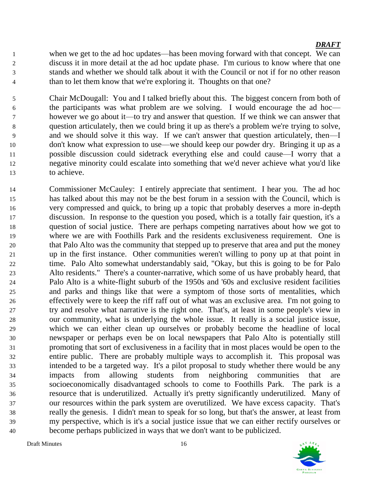when we get to the ad hoc updates—has been moving forward with that concept. We can discuss it in more detail at the ad hoc update phase. I'm curious to know where that one stands and whether we should talk about it with the Council or not if for no other reason 4 than to let them know that we're exploring it. Thoughts on that one?

 Chair McDougall: You and I talked briefly about this. The biggest concern from both of the participants was what problem are we solving. I would encourage the ad hoc— however we go about it—to try and answer that question. If we think we can answer that question articulately, then we could bring it up as there's a problem we're trying to solve, and we should solve it this way. If we can't answer that question articulately, then—I don't know what expression to use—we should keep our powder dry. Bringing it up as a possible discussion could sidetrack everything else and could cause—I worry that a negative minority could escalate into something that we'd never achieve what you'd like to achieve.

 Commissioner McCauley: I entirely appreciate that sentiment. I hear you. The ad hoc has talked about this may not be the best forum in a session with the Council, which is very compressed and quick, to bring up a topic that probably deserves a more in-depth discussion. In response to the question you posed, which is a totally fair question, it's a question of social justice. There are perhaps competing narratives about how we got to where we are with Foothills Park and the residents exclusiveness requirement. One is that Palo Alto was the community that stepped up to preserve that area and put the money up in the first instance. Other communities weren't willing to pony up at that point in time. Palo Alto somewhat understandably said, "Okay, but this is going to be for Palo Alto residents." There's a counter-narrative, which some of us have probably heard, that Palo Alto is a white-flight suburb of the 1950s and '60s and exclusive resident facilities and parks and things like that were a symptom of those sorts of mentalities, which effectively were to keep the riff raff out of what was an exclusive area. I'm not going to try and resolve what narrative is the right one. That's, at least in some people's view in our community, what is underlying the whole issue. It really is a social justice issue, which we can either clean up ourselves or probably become the headline of local newspaper or perhaps even be on local newspapers that Palo Alto is potentially still promoting that sort of exclusiveness in a facility that in most places would be open to the entire public. There are probably multiple ways to accomplish it. This proposal was intended to be a targeted way. It's a pilot proposal to study whether there would be any impacts from allowing students from neighboring communities that are socioeconomically disadvantaged schools to come to Foothills Park. The park is a resource that is underutilized. Actually it's pretty significantly underutilized. Many of our resources within the park system are overutilized. We have excess capacity. That's really the genesis. I didn't mean to speak for so long, but that's the answer, at least from my perspective, which is it's a social justice issue that we can either rectify ourselves or become perhaps publicized in ways that we don't want to be publicized.

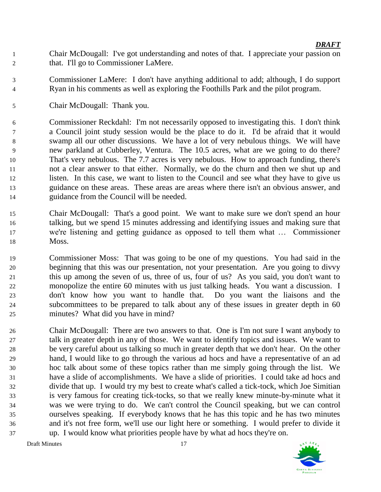- Chair McDougall: I've got understanding and notes of that. I appreciate your passion on 2 that. I'll go to Commissioner LaMere.
- Commissioner LaMere: I don't have anything additional to add; although, I do support Ryan in his comments as well as exploring the Foothills Park and the pilot program.
- Chair McDougall: Thank you.

 Commissioner Reckdahl: I'm not necessarily opposed to investigating this. I don't think a Council joint study session would be the place to do it. I'd be afraid that it would swamp all our other discussions. We have a lot of very nebulous things. We will have new parkland at Cubberley, Ventura. The 10.5 acres, what are we going to do there? That's very nebulous. The 7.7 acres is very nebulous. How to approach funding, there's not a clear answer to that either. Normally, we do the churn and then we shut up and listen. In this case, we want to listen to the Council and see what they have to give us guidance on these areas. These areas are areas where there isn't an obvious answer, and guidance from the Council will be needed.

- Chair McDougall: That's a good point. We want to make sure we don't spend an hour talking, but we spend 15 minutes addressing and identifying issues and making sure that we're listening and getting guidance as opposed to tell them what … Commissioner Moss.
- Commissioner Moss: That was going to be one of my questions. You had said in the beginning that this was our presentation, not your presentation. Are you going to divvy this up among the seven of us, three of us, four of us? As you said, you don't want to monopolize the entire 60 minutes with us just talking heads. You want a discussion. I don't know how you want to handle that. Do you want the liaisons and the subcommittees to be prepared to talk about any of these issues in greater depth in 60 minutes? What did you have in mind?
- Chair McDougall: There are two answers to that. One is I'm not sure I want anybody to talk in greater depth in any of those. We want to identify topics and issues. We want to be very careful about us talking so much in greater depth that we don't hear. On the other hand, I would like to go through the various ad hocs and have a representative of an ad hoc talk about some of these topics rather than me simply going through the list. We have a slide of accomplishments. We have a slide of priorities. I could take ad hocs and divide that up. I would try my best to create what's called a tick-tock, which Joe Simitian is very famous for creating tick-tocks, so that we really knew minute-by-minute what it was we were trying to do. We can't control the Council speaking, but we can control ourselves speaking. If everybody knows that he has this topic and he has two minutes and it's not free form, we'll use our light here or something. I would prefer to divide it up. I would know what priorities people have by what ad hocs they're on.

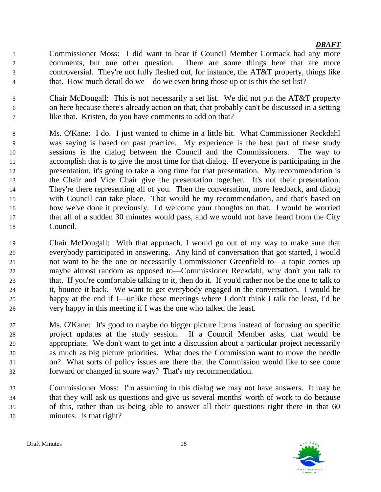Commissioner Moss: I did want to hear if Council Member Cormack had any more comments, but one other question. There are some things here that are more controversial. They're not fully fleshed out, for instance, the AT&T property, things like that. How much detail do we—do we even bring those up or is this the set list?

 Chair McDougall: This is not necessarily a set list. We did not put the AT&T property on here because there's already action on that, that probably can't be discussed in a setting like that. Kristen, do you have comments to add on that?

- Ms. O'Kane: I do. I just wanted to chime in a little bit. What Commissioner Reckdahl was saying is based on past practice. My experience is the best part of these study sessions is the dialog between the Council and the Commissioners. The way to accomplish that is to give the most time for that dialog. If everyone is participating in the presentation, it's going to take a long time for that presentation. My recommendation is the Chair and Vice Chair give the presentation together. It's not their presentation. They're there representing all of you. Then the conversation, more feedback, and dialog with Council can take place. That would be my recommendation, and that's based on how we've done it previously. I'd welcome your thoughts on that. I would be worried that all of a sudden 30 minutes would pass, and we would not have heard from the City Council.
- Chair McDougall: With that approach, I would go out of my way to make sure that everybody participated in answering. Any kind of conversation that got started, I would not want to be the one or necessarily Commissioner Greenfield to—a topic comes up maybe almost random as opposed to—Commissioner Reckdahl, why don't you talk to that. If you're comfortable talking to it, then do it. If you'd rather not be the one to talk to it, bounce it back. We want to get everybody engaged in the conversation. I would be happy at the end if I—unlike these meetings where I don't think I talk the least, I'd be very happy in this meeting if I was the one who talked the least.
- Ms. O'Kane: It's good to maybe do bigger picture items instead of focusing on specific project updates at the study session. If a Council Member asks, that would be appropriate. We don't want to get into a discussion about a particular project necessarily as much as big picture priorities. What does the Commission want to move the needle on? What sorts of policy issues are there that the Commission would like to see come forward or changed in some way? That's my recommendation.
- Commissioner Moss: I'm assuming in this dialog we may not have answers. It may be that they will ask us questions and give us several months' worth of work to do because of this, rather than us being able to answer all their questions right there in that 60 minutes. Is that right?

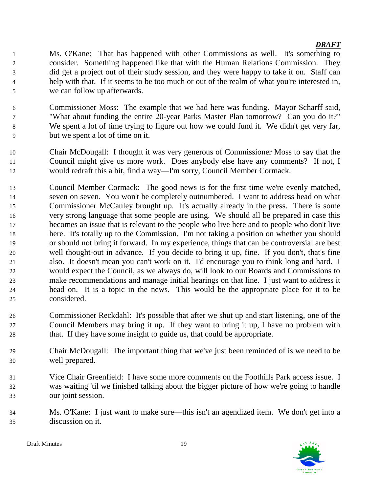Ms. O'Kane: That has happened with other Commissions as well. It's something to consider. Something happened like that with the Human Relations Commission. They did get a project out of their study session, and they were happy to take it on. Staff can help with that. If it seems to be too much or out of the realm of what you're interested in, we can follow up afterwards.

- Commissioner Moss: The example that we had here was funding. Mayor Scharff said, "What about funding the entire 20-year Parks Master Plan tomorrow? Can you do it?" We spent a lot of time trying to figure out how we could fund it. We didn't get very far, but we spent a lot of time on it.
- Chair McDougall: I thought it was very generous of Commissioner Moss to say that the Council might give us more work. Does anybody else have any comments? If not, I would redraft this a bit, find a way—I'm sorry, Council Member Cormack.
- Council Member Cormack: The good news is for the first time we're evenly matched, seven on seven. You won't be completely outnumbered. I want to address head on what Commissioner McCauley brought up. It's actually already in the press. There is some very strong language that some people are using. We should all be prepared in case this becomes an issue that is relevant to the people who live here and to people who don't live here. It's totally up to the Commission. I'm not taking a position on whether you should or should not bring it forward. In my experience, things that can be controversial are best well thought-out in advance. If you decide to bring it up, fine. If you don't, that's fine also. It doesn't mean you can't work on it. I'd encourage you to think long and hard. I would expect the Council, as we always do, will look to our Boards and Commissions to make recommendations and manage initial hearings on that line. I just want to address it head on. It is a topic in the news. This would be the appropriate place for it to be considered.
- Commissioner Reckdahl: It's possible that after we shut up and start listening, one of the Council Members may bring it up. If they want to bring it up, I have no problem with that. If they have some insight to guide us, that could be appropriate.
- Chair McDougall: The important thing that we've just been reminded of is we need to be well prepared.
- Vice Chair Greenfield: I have some more comments on the Foothills Park access issue. I was waiting 'til we finished talking about the bigger picture of how we're going to handle our joint session.
- Ms. O'Kane: I just want to make sure—this isn't an agendized item. We don't get into a discussion on it.

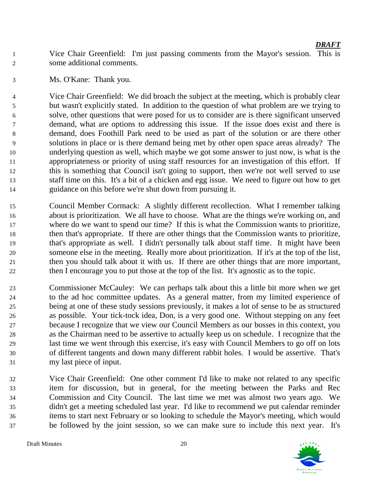Vice Chair Greenfield: I'm just passing comments from the Mayor's session. This is some additional comments.

Ms. O'Kane: Thank you.

 Vice Chair Greenfield: We did broach the subject at the meeting, which is probably clear but wasn't explicitly stated. In addition to the question of what problem are we trying to solve, other questions that were posed for us to consider are is there significant unserved demand, what are options to addressing this issue. If the issue does exist and there is demand, does Foothill Park need to be used as part of the solution or are there other solutions in place or is there demand being met by other open space areas already? The underlying question as well, which maybe we got some answer to just now, is what is the appropriateness or priority of using staff resources for an investigation of this effort. If this is something that Council isn't going to support, then we're not well served to use staff time on this. It's a bit of a chicken and egg issue. We need to figure out how to get guidance on this before we're shut down from pursuing it.

- Council Member Cormack: A slightly different recollection. What I remember talking about is prioritization. We all have to choose. What are the things we're working on, and where do we want to spend our time? If this is what the Commission wants to prioritize, then that's appropriate. If there are other things that the Commission wants to prioritize, that's appropriate as well. I didn't personally talk about staff time. It might have been someone else in the meeting. Really more about prioritization. If it's at the top of the list, then you should talk about it with us. If there are other things that are more important, then I encourage you to put those at the top of the list. It's agnostic as to the topic.
- Commissioner McCauley: We can perhaps talk about this a little bit more when we get to the ad hoc committee updates. As a general matter, from my limited experience of being at one of these study sessions previously, it makes a lot of sense to be as structured as possible. Your tick-tock idea, Don, is a very good one. Without stepping on any feet because I recognize that we view our Council Members as our bosses in this context, you as the Chairman need to be assertive to actually keep us on schedule. I recognize that the last time we went through this exercise, it's easy with Council Members to go off on lots of different tangents and down many different rabbit holes. I would be assertive. That's my last piece of input.
- Vice Chair Greenfield: One other comment I'd like to make not related to any specific item for discussion, but in general, for the meeting between the Parks and Rec Commission and City Council. The last time we met was almost two years ago. We didn't get a meeting scheduled last year. I'd like to recommend we put calendar reminder items to start next February or so looking to schedule the Mayor's meeting, which would be followed by the joint session, so we can make sure to include this next year. It's

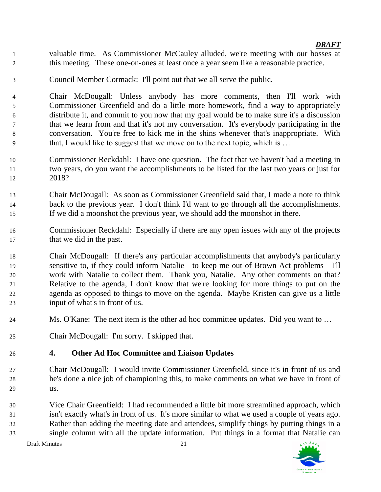valuable time. As Commissioner McCauley alluded, we're meeting with our bosses at this meeting. These one-on-ones at least once a year seem like a reasonable practice.

Council Member Cormack: I'll point out that we all serve the public.

 Chair McDougall: Unless anybody has more comments, then I'll work with Commissioner Greenfield and do a little more homework, find a way to appropriately distribute it, and commit to you now that my goal would be to make sure it's a discussion that we learn from and that it's not my conversation. It's everybody participating in the conversation. You're free to kick me in the shins whenever that's inappropriate. With that, I would like to suggest that we move on to the next topic, which is …

- Commissioner Reckdahl: I have one question. The fact that we haven't had a meeting in two years, do you want the accomplishments to be listed for the last two years or just for 2018?
- Chair McDougall: As soon as Commissioner Greenfield said that, I made a note to think back to the previous year. I don't think I'd want to go through all the accomplishments. If we did a moonshot the previous year, we should add the moonshot in there.
- Commissioner Reckdahl: Especially if there are any open issues with any of the projects 17 that we did in the past.

 Chair McDougall: If there's any particular accomplishments that anybody's particularly sensitive to, if they could inform Natalie—to keep me out of Brown Act problems—I'll work with Natalie to collect them. Thank you, Natalie. Any other comments on that? Relative to the agenda, I don't know that we're looking for more things to put on the agenda as opposed to things to move on the agenda. Maybe Kristen can give us a little input of what's in front of us.

- Ms. O'Kane: The next item is the other ad hoc committee updates. Did you want to …
- Chair McDougall: I'm sorry. I skipped that.

# **4. Other Ad Hoc Committee and Liaison Updates**

 Chair McDougall: I would invite Commissioner Greenfield, since it's in front of us and he's done a nice job of championing this, to make comments on what we have in front of us.

 Vice Chair Greenfield: I had recommended a little bit more streamlined approach, which isn't exactly what's in front of us. It's more similar to what we used a couple of years ago. Rather than adding the meeting date and attendees, simplify things by putting things in a single column with all the update information. Put things in a format that Natalie can

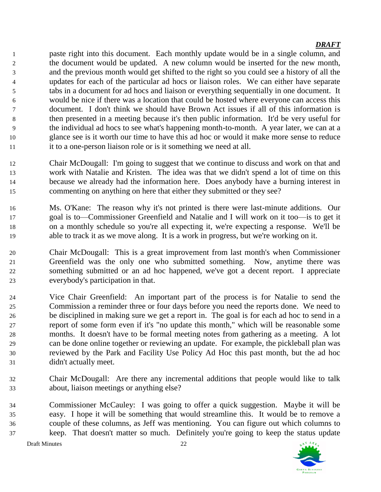paste right into this document. Each monthly update would be in a single column, and the document would be updated. A new column would be inserted for the new month, and the previous month would get shifted to the right so you could see a history of all the updates for each of the particular ad hocs or liaison roles. We can either have separate tabs in a document for ad hocs and liaison or everything sequentially in one document. It would be nice if there was a location that could be hosted where everyone can access this document. I don't think we should have Brown Act issues if all of this information is then presented in a meeting because it's then public information. It'd be very useful for the individual ad hocs to see what's happening month-to-month. A year later, we can at a glance see is it worth our time to have this ad hoc or would it make more sense to reduce 11 it to a one-person liaison role or is it something we need at all.

- Chair McDougall: I'm going to suggest that we continue to discuss and work on that and work with Natalie and Kristen. The idea was that we didn't spend a lot of time on this because we already had the information here. Does anybody have a burning interest in commenting on anything on here that either they submitted or they see?
- Ms. O'Kane: The reason why it's not printed is there were last-minute additions. Our goal is to—Commissioner Greenfield and Natalie and I will work on it too—is to get it on a monthly schedule so you're all expecting it, we're expecting a response. We'll be able to track it as we move along. It is a work in progress, but we're working on it.
- Chair McDougall: This is a great improvement from last month's when Commissioner Greenfield was the only one who submitted something. Now, anytime there was something submitted or an ad hoc happened, we've got a decent report. I appreciate everybody's participation in that.
- Vice Chair Greenfield: An important part of the process is for Natalie to send the Commission a reminder three or four days before you need the reports done. We need to be disciplined in making sure we get a report in. The goal is for each ad hoc to send in a report of some form even if it's "no update this month," which will be reasonable some months. It doesn't have to be formal meeting notes from gathering as a meeting. A lot can be done online together or reviewing an update. For example, the pickleball plan was reviewed by the Park and Facility Use Policy Ad Hoc this past month, but the ad hoc didn't actually meet.
- Chair McDougall: Are there any incremental additions that people would like to talk about, liaison meetings or anything else?
- Commissioner McCauley: I was going to offer a quick suggestion. Maybe it will be easy. I hope it will be something that would streamline this. It would be to remove a couple of these columns, as Jeff was mentioning. You can figure out which columns to keep. That doesn't matter so much. Definitely you're going to keep the status update

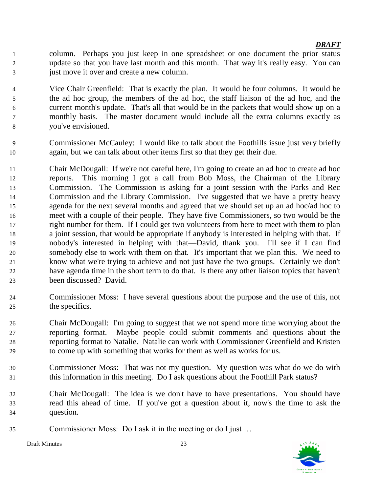- column. Perhaps you just keep in one spreadsheet or one document the prior status update so that you have last month and this month. That way it's really easy. You can just move it over and create a new column.
- Vice Chair Greenfield: That is exactly the plan. It would be four columns. It would be the ad hoc group, the members of the ad hoc, the staff liaison of the ad hoc, and the current month's update. That's all that would be in the packets that would show up on a monthly basis. The master document would include all the extra columns exactly as you've envisioned.
- Commissioner McCauley: I would like to talk about the Foothills issue just very briefly again, but we can talk about other items first so that they get their due.
- Chair McDougall: If we're not careful here, I'm going to create an ad hoc to create ad hoc reports. This morning I got a call from Bob Moss, the Chairman of the Library Commission. The Commission is asking for a joint session with the Parks and Rec Commission and the Library Commission. I've suggested that we have a pretty heavy agenda for the next several months and agreed that we should set up an ad hoc/ad hoc to meet with a couple of their people. They have five Commissioners, so two would be the right number for them. If I could get two volunteers from here to meet with them to plan a joint session, that would be appropriate if anybody is interested in helping with that. If nobody's interested in helping with that—David, thank you. I'll see if I can find somebody else to work with them on that. It's important that we plan this. We need to know what we're trying to achieve and not just have the two groups. Certainly we don't have agenda time in the short term to do that. Is there any other liaison topics that haven't been discussed? David.
- Commissioner Moss: I have several questions about the purpose and the use of this, not the specifics.
- Chair McDougall: I'm going to suggest that we not spend more time worrying about the reporting format. Maybe people could submit comments and questions about the reporting format to Natalie. Natalie can work with Commissioner Greenfield and Kristen to come up with something that works for them as well as works for us.
- Commissioner Moss: That was not my question. My question was what do we do with this information in this meeting. Do I ask questions about the Foothill Park status?
- Chair McDougall: The idea is we don't have to have presentations. You should have read this ahead of time. If you've got a question about it, now's the time to ask the question.
- Commissioner Moss: Do I ask it in the meeting or do I just …

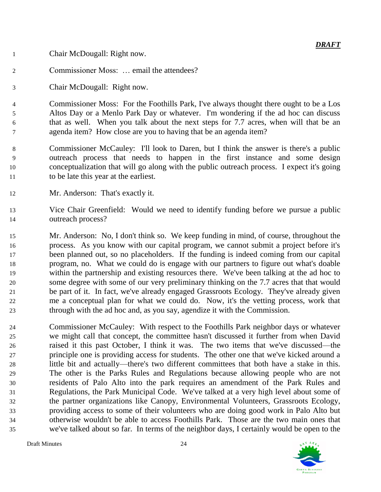Chair McDougall: Right now.

- Commissioner Moss: … email the attendees?
- Chair McDougall: Right now.

 Commissioner Moss: For the Foothills Park, I've always thought there ought to be a Los Altos Day or a Menlo Park Day or whatever. I'm wondering if the ad hoc can discuss that as well. When you talk about the next steps for 7.7 acres, when will that be an agenda item? How close are you to having that be an agenda item?

- Commissioner McCauley: I'll look to Daren, but I think the answer is there's a public outreach process that needs to happen in the first instance and some design conceptualization that will go along with the public outreach process. I expect it's going to be late this year at the earliest.
- Mr. Anderson: That's exactly it.
- Vice Chair Greenfield: Would we need to identify funding before we pursue a public outreach process?
- Mr. Anderson: No, I don't think so. We keep funding in mind, of course, throughout the process. As you know with our capital program, we cannot submit a project before it's been planned out, so no placeholders. If the funding is indeed coming from our capital program, no. What we could do is engage with our partners to figure out what's doable within the partnership and existing resources there. We've been talking at the ad hoc to some degree with some of our very preliminary thinking on the 7.7 acres that that would be part of it. In fact, we've already engaged Grassroots Ecology. They've already given me a conceptual plan for what we could do. Now, it's the vetting process, work that through with the ad hoc and, as you say, agendize it with the Commission.
- Commissioner McCauley: With respect to the Foothills Park neighbor days or whatever we might call that concept, the committee hasn't discussed it further from when David raised it this past October, I think it was. The two items that we've discussed—the principle one is providing access for students. The other one that we've kicked around a little bit and actually—there's two different committees that both have a stake in this. The other is the Parks Rules and Regulations because allowing people who are not residents of Palo Alto into the park requires an amendment of the Park Rules and Regulations, the Park Municipal Code. We've talked at a very high level about some of the partner organizations like Canopy, Environmental Volunteers, Grassroots Ecology, providing access to some of their volunteers who are doing good work in Palo Alto but otherwise wouldn't be able to access Foothills Park. Those are the two main ones that we've talked about so far. In terms of the neighbor days, I certainly would be open to the

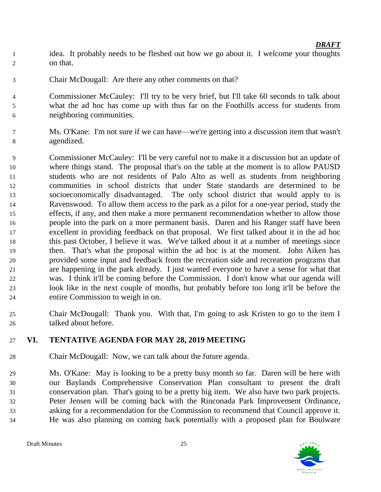- idea. It probably needs to be fleshed out how we go about it. I welcome your thoughts on that.
- Chair McDougall: Are there any other comments on that?
- Commissioner McCauley: I'll try to be very brief, but I'll take 60 seconds to talk about what the ad hoc has come up with thus far on the Foothills access for students from neighboring communities.
- Ms. O'Kane: I'm not sure if we can have—we're getting into a discussion item that wasn't agendized.
- Commissioner McCauley: I'll be very careful not to make it a discussion but an update of where things stand. The proposal that's on the table at the moment is to allow PAUSD students who are not residents of Palo Alto as well as students from neighboring communities in school districts that under State standards are determined to be socioeconomically disadvantaged. The only school district that would apply to is Ravenswood. To allow them access to the park as a pilot for a one-year period, study the effects, if any, and then make a more permanent recommendation whether to allow those people into the park on a more permanent basis. Daren and his Ranger staff have been excellent in providing feedback on that proposal. We first talked about it in the ad hoc this past October, I believe it was. We've talked about it at a number of meetings since then. That's what the proposal within the ad hoc is at the moment. John Aiken has provided some input and feedback from the recreation side and recreation programs that are happening in the park already. I just wanted everyone to have a sense for what that was. I think it'll be coming before the Commission. I don't know what our agenda will look like in the next couple of months, but probably before too long it'll be before the entire Commission to weigh in on.
- Chair McDougall: Thank you. With that, I'm going to ask Kristen to go to the item I talked about before.

# **VI. TENTATIVE AGENDA FOR MAY 28, 2019 MEETING**

Chair McDougall: Now, we can talk about the future agenda.

 Ms. O'Kane: May is looking to be a pretty busy month so far. Daren will be here with our Baylands Comprehensive Conservation Plan consultant to present the draft conservation plan. That's going to be a pretty big item. We also have two park projects. Peter Jensen will be coming back with the Rinconada Park Improvement Ordinance, asking for a recommendation for the Commission to recommend that Council approve it. He was also planning on coming back potentially with a proposed plan for Boulware

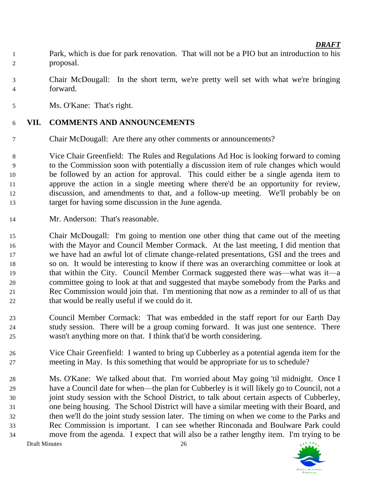- Park, which is due for park renovation. That will not be a PIO but an introduction to his proposal.
- Chair McDougall: In the short term, we're pretty well set with what we're bringing forward.
- Ms. O'Kane: That's right.

# **VII. COMMENTS AND ANNOUNCEMENTS**

Chair McDougall: Are there any other comments or announcements?

 Vice Chair Greenfield: The Rules and Regulations Ad Hoc is looking forward to coming to the Commission soon with potentially a discussion item of rule changes which would be followed by an action for approval. This could either be a single agenda item to approve the action in a single meeting where there'd be an opportunity for review, discussion, and amendments to that, and a follow-up meeting. We'll probably be on target for having some discussion in the June agenda.

Mr. Anderson: That's reasonable.

 Chair McDougall: I'm going to mention one other thing that came out of the meeting with the Mayor and Council Member Cormack. At the last meeting, I did mention that we have had an awful lot of climate change-related presentations, GSI and the trees and so on. It would be interesting to know if there was an overarching committee or look at that within the City. Council Member Cormack suggested there was—what was it—a committee going to look at that and suggested that maybe somebody from the Parks and Rec Commission would join that. I'm mentioning that now as a reminder to all of us that that would be really useful if we could do it.

- Council Member Cormack: That was embedded in the staff report for our Earth Day study session. There will be a group coming forward. It was just one sentence. There wasn't anything more on that. I think that'd be worth considering.
- Vice Chair Greenfield: I wanted to bring up Cubberley as a potential agenda item for the meeting in May. Is this something that would be appropriate for us to schedule?

Draft Minutes 26 Ms. O'Kane: We talked about that. I'm worried about May going 'til midnight. Once I have a Council date for when—the plan for Cubberley is it will likely go to Council, not a joint study session with the School District, to talk about certain aspects of Cubberley, one being housing. The School District will have a similar meeting with their Board, and then we'll do the joint study session later. The timing on when we come to the Parks and Rec Commission is important. I can see whether Rinconada and Boulware Park could move from the agenda. I expect that will also be a rather lengthy item. I'm trying to be